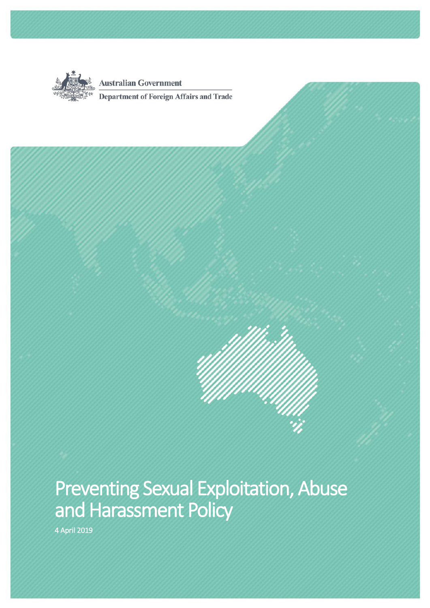

**Australian Government** 

Department of Foreign Affairs and Trade

# Preventing Sexual Exploitation, Abuse and Harassment Policy<br>4 April 2019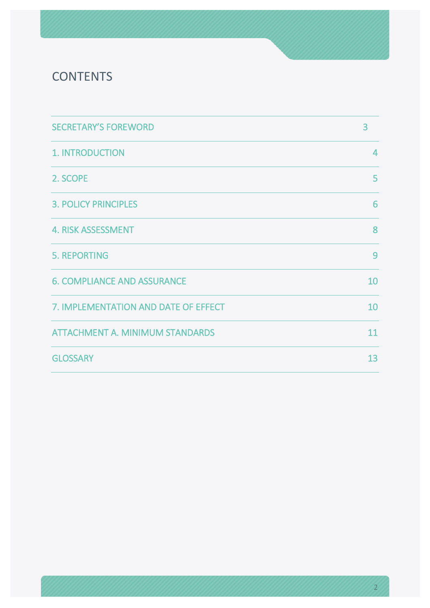### **CONTENTS**

| <b>SECRETARY'S FOREWORD</b>            | 3              |
|----------------------------------------|----------------|
| 1. INTRODUCTION                        | $\overline{4}$ |
| 2. SCOPE                               | 5              |
| <b>3. POLICY PRINCIPLES</b>            | 6              |
| <b>4. RISK ASSESSMENT</b>              | 8              |
| <b>5. REPORTING</b>                    | 9              |
| <b>6. COMPLIANCE AND ASSURANCE</b>     | 10             |
| 7. IMPLEMENTATION AND DATE OF EFFECT   | 10             |
| <b>ATTACHMENT A. MINIMUM STANDARDS</b> | 11             |
| <b>GLOSSARY</b>                        | 13             |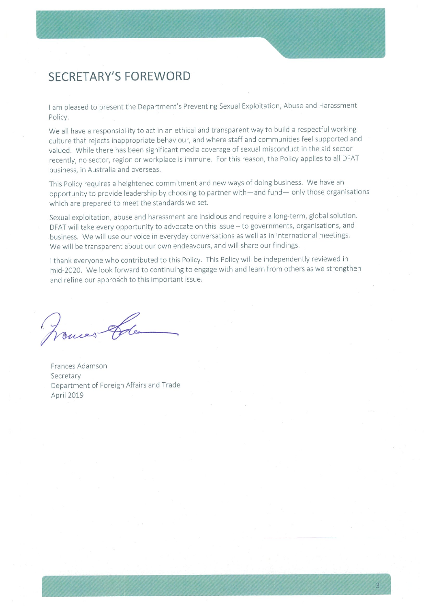### **SECRETARY'S FOREWORD**

I am pleased to present the Department's Preventing Sexual Exploitation, Abuse and Harassment Policy.

We all have a responsibility to act in an ethical and transparent way to build a respectful working culture that rejects inappropriate behaviour, and where staff and communities feel supported and valued. While there has been significant media coverage of sexual misconduct in the aid sector recently, no sector, region or workplace is immune. For this reason, the Policy applies to all DFAT business, in Australia and overseas.

This Policy requires a heightened commitment and new ways of doing business. We have an opportunity to provide leadership by choosing to partner with-and fund- only those organisations which are prepared to meet the standards we set.

Sexual exploitation, abuse and harassment are insidious and require a long-term, global solution. DFAT will take every opportunity to advocate on this issue - to governments, organisations, and business. We will use our voice in everyday conversations as well as in international meetings. We will be transparent about our own endeavours, and will share our findings.

I thank everyone who contributed to this Policy. This Policy will be independently reviewed in mid-2020. We look forward to continuing to engage with and learn from others as we strengthen and refine our approach to this important issue.

onces &

Frances Adamson Secretary Department of Foreign Affairs and Trade April 2019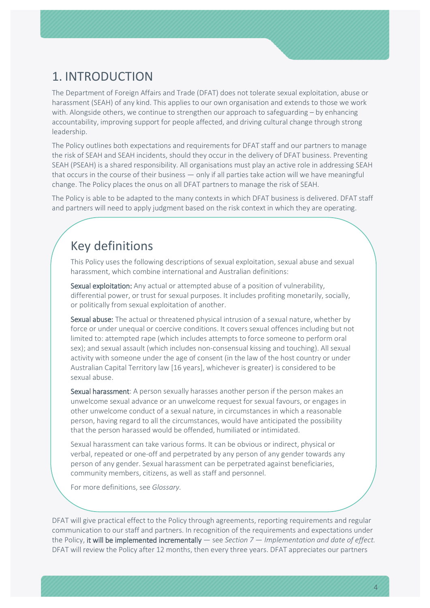## <span id="page-3-0"></span>1. INTRODUCTION

The Department of Foreign Affairs and Trade (DFAT) does not tolerate sexual exploitation, abuse or harassment (SEAH) of any kind. This applies to our own organisation and extends to those we work with. Alongside others, we continue to strengthen our approach to safeguarding – by enhancing accountability, improving support for people affected, and driving cultural change through strong leadership.

The Policy outlines both expectations and requirements for DFAT staff and our partners to manage the risk of SEAH and SEAH incidents, should they occur in the delivery of DFAT business. Preventing SEAH (PSEAH) is a shared responsibility. All organisations must play an active role in addressing SEAH that occurs in the course of their business — only if all parties take action will we have meaningful change. The Policy places the onus on all DFAT partners to manage the risk of SEAH.

The Policy is able to be adapted to the many contexts in which DFAT business is delivered. DFAT staff and partners will need to apply judgment based on the risk context in which they are operating.

### Key definitions

This Policy uses the following descriptions of sexual exploitation, sexual abuse and sexual harassment, which combine international and Australian definitions:

Sexual exploitation: Any actual or attempted abuse of a position of vulnerability, differential power, or trust for sexual purposes. It includes profiting monetarily, socially, or politically from sexual exploitation of another.

Sexual abuse: The actual or threatened physical intrusion of a sexual nature, whether by force or under unequal or coercive conditions. It covers sexual offences including but not limited to: attempted rape (which includes attempts to force someone to perform oral sex); and sexual assault (which includes non-consensual kissing and touching). All sexual activity with someone under the age of consent (in the law of the host country or under Australian Capital Territory law [16 years], whichever is greater) is considered to be sexual abuse.

Sexual harassment: A person sexually harasses another person if the person makes an unwelcome sexual advance or an unwelcome request for sexual favours, or engages in other unwelcome conduct of a sexual nature, in circumstances in which a reasonable person, having regard to all the circumstances, would have anticipated the possibility that the person harassed would be offended, humiliated or intimidated.

Sexual harassment can take various forms. It can be obvious or indirect, physical or verbal, repeated or one-off and perpetrated by any person of any gender towards any person of any gender. Sexual harassment can be perpetrated against beneficiaries, community members, citizens, as well as staff and personnel.

For more definitions, see *Glossary.*

DFAT will give practical effect to the Policy through agreements, reporting requirements and regular communication to our staff and partners. In recognition of the requirements and expectations under the Policy, it will be implemented incrementally — see *Section 7* — *Implementation and date of effect.*  DFAT will review the Policy after 12 months, then every three years. DFAT appreciates our partners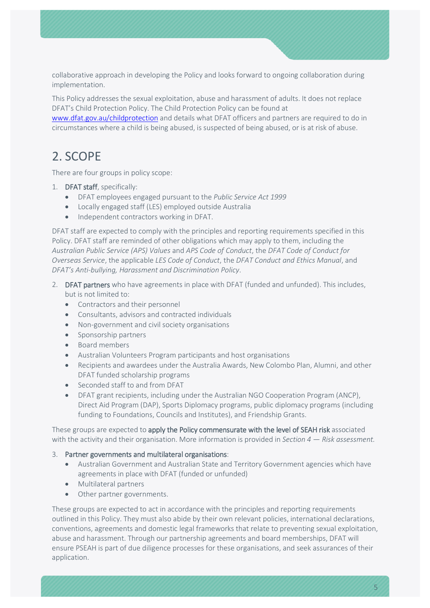collaborative approach in developing the Policy and looks forward to ongoing collaboration during implementation.

This Policy addresses the sexual exploitation, abuse and harassment of adults. It does not replace DFAT's Child Protection Policy. The Child Protection Policy can be found at

[www.dfat.gov.au/childprotection](http://www.dfat.gov.au/childprotection) and details what DFAT officers and partners are required to do in circumstances where a child is being abused, is suspected of being abused, or is at risk of abuse.

### <span id="page-4-0"></span>2. SCOPE

There are four groups in policy scope:

- 1. DFAT staff, specifically:
	- DFAT employees engaged pursuant to the *Public Service Act 1999*
	- Locally engaged staff (LES) employed outside Australia
	- Independent contractors working in DFAT.

DFAT staff are expected to comply with the principles and reporting requirements specified in this Policy. DFAT staff are reminded of other obligations which may apply to them, including the *Australian Public Service (APS) Values* and *APS Code of Conduct*, the *DFAT Code of Conduct for Overseas Service*, the applicable *LES Code of Conduct*, the *DFAT Conduct and Ethics Manual*, and *DFAT's Anti-bullying, Harassment and Discrimination Policy*.

- 2. DFAT partners who have agreements in place with DFAT (funded and unfunded). This includes, but is not limited to:
	- Contractors and their personnel
	- Consultants, advisors and contracted individuals
	- Non-government and civil society organisations
	- Sponsorship partners
	- Board members
	- Australian Volunteers Program participants and host organisations
	- Recipients and awardees under the Australia Awards, New Colombo Plan, Alumni, and other DFAT funded scholarship programs
	- Seconded staff to and from DFAT
	- DFAT grant recipients, including under the Australian NGO Cooperation Program (ANCP), Direct Aid Program (DAP), Sports Diplomacy programs, public diplomacy programs (including funding to Foundations, Councils and Institutes), and Friendship Grants.

These groups are expected to apply the Policy commensurate with the level of SEAH risk associated with the activity and their organisation. More information is provided in *Section 4* — *Risk assessment.*

#### 3. Partner governments and multilateral organisations:

- Australian Government and Australian State and Territory Government agencies which have agreements in place with DFAT (funded or unfunded)
- Multilateral partners
- Other partner governments.

These groups are expected to act in accordance with the principles and reporting requirements outlined in this Policy. They must also abide by their own relevant policies, international declarations, conventions, agreements and domestic legal frameworks that relate to preventing sexual exploitation, abuse and harassment. Through our partnership agreements and board memberships, DFAT will ensure PSEAH is part of due diligence processes for these organisations, and seek assurances of their application.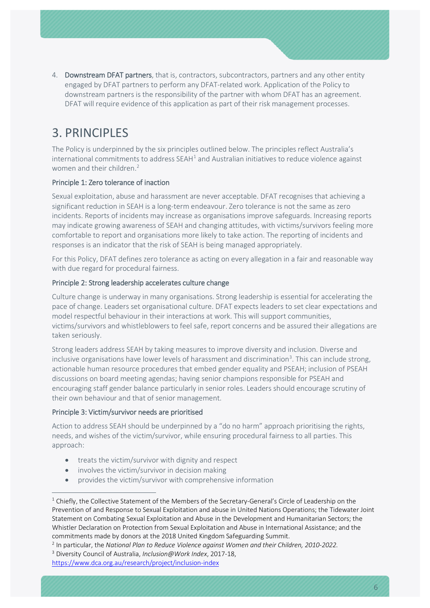4. Downstream DFAT partners, that is, contractors, subcontractors, partners and any other entity engaged by DFAT partners to perform any DFAT-related work. Application of the Policy to downstream partners is the responsibility of the partner with whom DFAT has an agreement. DFAT will require evidence of this application as part of their risk management processes.

### <span id="page-5-0"></span>3. PRINCIPLES

The Policy is underpinned by the six principles outlined below. The principles reflect Australia's international commitments to address  $SEAH<sup>1</sup>$  $SEAH<sup>1</sup>$  $SEAH<sup>1</sup>$  and Australian initiatives to reduce violence against women and their children.<sup>2</sup>

### Principle 1: Zero tolerance of inaction

Sexual exploitation, abuse and harassment are never acceptable. DFAT recognises that achieving a significant reduction in SEAH is a long-term endeavour. Zero tolerance is not the same as zero incidents. Reports of incidents may increase as organisations improve safeguards. Increasing reports may indicate growing awareness of SEAH and changing attitudes, with victims/survivors feeling more comfortable to report and organisations more likely to take action. The reporting of incidents and responses is an indicator that the risk of SEAH is being managed appropriately.

For this Policy, DFAT defines zero tolerance as acting on every allegation in a fair and reasonable way with due regard for procedural fairness.

#### Principle 2: Strong leadership accelerates culture change

Culture change is underway in many organisations. Strong leadership is essential for accelerating the pace of change. Leaders set organisational culture. DFAT expects leaders to set clear expectations and model respectful behaviour in their interactions at work. This will support communities, victims/survivors and whistleblowers to feel safe, report concerns and be assured their allegations are taken seriously.

Strong leaders address SEAH by taking measures to improve diversity and inclusion. Diverse and inclusive organisations have lower levels of harassment and discrimination<sup>[3](#page-5-3)</sup>. This can include strong, actionable human resource procedures that embed gender equality and PSEAH; inclusion of PSEAH discussions on board meeting agendas; having senior champions responsible for PSEAH and encouraging staff gender balance particularly in senior roles. Leaders should encourage scrutiny of their own behaviour and that of senior management.

#### Principle 3: Victim/survivor needs are prioritised

Action to address SEAH should be underpinned by a "do no harm" approach prioritising the rights, needs, and wishes of the victim/survivor, while ensuring procedural fairness to all parties. This approach:

- treats the victim/survivor with dignity and respect
- involves the victim/survivor in decision making
- provides the victim/survivor with comprehensive information

<span id="page-5-1"></span><sup>&</sup>lt;sup>1</sup> Chiefly, the Collective Statement of the Members of the Secretary-General's Circle of Leadership on the Prevention of and Response to Sexual Exploitation and abuse in United Nations Operations; the Tidewater Joint Statement on Combating Sexual Exploitation and Abuse in the Development and Humanitarian Sectors; the Whistler Declaration on Protection from Sexual Exploitation and Abuse in International Assistance; and the commitments made by donors at the 2018 United Kingdom Safeguarding Summit.

<span id="page-5-2"></span><sup>2</sup> In particular, the *National Plan to Reduce Violence against Women and their Children, 2010-2022.*

<span id="page-5-3"></span><sup>3</sup> Diversity Council of Australia, *Inclusion@Work Index*, 2017-18,

<https://www.dca.org.au/research/project/inclusion-index>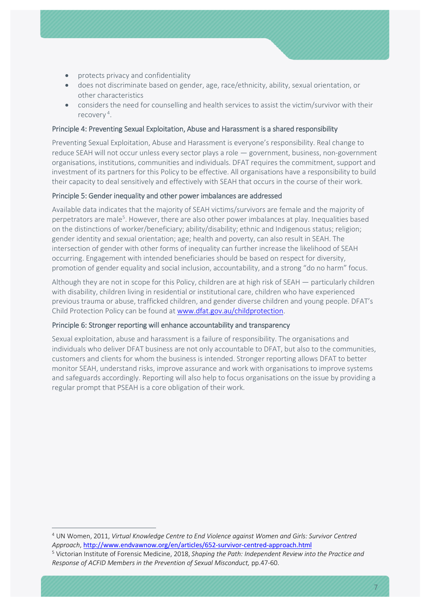- protects privacy and confidentiality
- does not discriminate based on gender, age, race/ethnicity, ability, sexual orientation, or other characteristics
- considers the need for counselling and health services to assist the victim/survivor with their recovery<sup>[4](#page-6-0)</sup>.

### Principle 4: Preventing Sexual Exploitation, Abuse and Harassment is a shared responsibility

Preventing Sexual Exploitation, Abuse and Harassment is everyone's responsibility. Real change to reduce SEAH will not occur unless every sector plays a role — government, business, non-government organisations, institutions, communities and individuals. DFAT requires the commitment, support and investment of its partners for this Policy to be effective. All organisations have a responsibility to build their capacity to deal sensitively and effectively with SEAH that occurs in the course of their work.

### Principle 5: Gender inequality and other power imbalances are addressed

Available data indicates that the majority of SEAH victims/survivors are female and the majority of perpetrators are male<sup>[5](#page-6-1)</sup>. However, there are also other power imbalances at play. Inequalities based on the distinctions of worker/beneficiary; ability/disability; ethnic and Indigenous status; religion; gender identity and sexual orientation; age; health and poverty, can also result in SEAH. The intersection of gender with other forms of inequality can further increase the likelihood of SEAH occurring. Engagement with intended beneficiaries should be based on respect for diversity, promotion of gender equality and social inclusion, accountability, and a strong "do no harm" focus.

Although they are not in scope for this Policy, children are at high risk of SEAH — particularly children with disability, children living in residential or institutional care, children who have experienced previous trauma or abuse, trafficked children, and gender diverse children and young people. DFAT's Child Protection Policy can be found a[t www.dfat.gov.au/childprotection.](http://www.dfat.gov.au/childprotection)

#### Principle 6: Stronger reporting will enhance accountability and transparency

Sexual exploitation, abuse and harassment is a failure of responsibility. The organisations and individuals who deliver DFAT business are not only accountable to DFAT, but also to the communities, customers and clients for whom the business is intended. Stronger reporting allows DFAT to better monitor SEAH, understand risks, improve assurance and work with organisations to improve systems and safeguards accordingly. Reporting will also help to focus organisations on the issue by providing a regular prompt that PSEAH is a core obligation of their work.

<span id="page-6-0"></span> <sup>4</sup> UN Women, 2011, *Virtual Knowledge Centre to End Violence against Women and Girls: Survivor Centred Approach*, <http://www.endvawnow.org/en/articles/652-survivor-centred-approach.html>

<span id="page-6-1"></span><sup>5</sup> Victorian Institute of Forensic Medicine, 2018, *Shaping the Path: Independent Review into the Practice and Response of ACFID Members in the Prevention of Sexual Misconduct,* pp.47-60.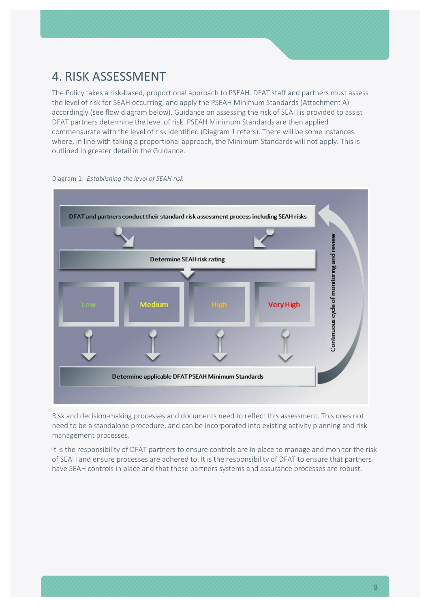### <span id="page-7-0"></span>4. RISK ASSESSMENT

The Policy takes a risk-based, proportional approach to PSEAH. DFAT staff and partners must assess the level of risk for SEAH occurring, and apply the PSEAH Minimum Standards (Attachment A) accordingly (see flow diagram below). Guidance on assessing the risk of SEAH is provided to assist DFAT partners determine the level of risk. PSEAH Minimum Standards are then applied commensurate with the level of risk identified (Diagram 1 refers). There will be some instances where, in line with taking a proportional approach, the Minimum Standards will not apply. This is outlined in greater detail in the Guidance.



Diagram 1: *Establishing the level of SEAH risk*

Risk and decision-making processes and documents need to reflect this assessment. This does not need to be a standalone procedure, and can be incorporated into existing activity planning and risk management processes.

It is the responsibility of DFAT partners to ensure controls are in place to manage and monitor the risk of SEAH and ensure processes are adhered to. It is the responsibility of DFAT to ensure that partners have SEAH controls in place and that those partners systems and assurance processes are robust.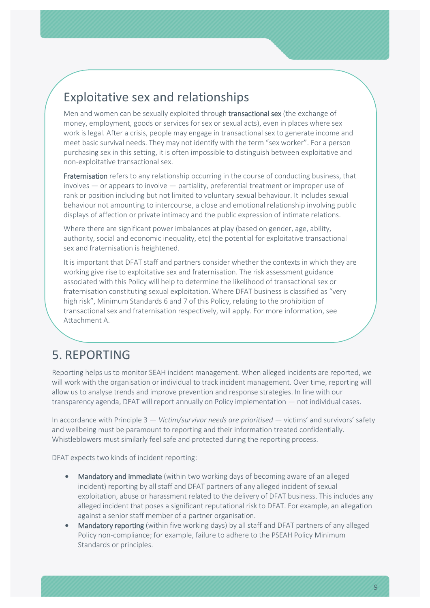## Exploitative sex and relationships

Men and women can be sexually exploited through transactional sex (the exchange of money, employment, goods or services for sex or sexual acts), even in places where sex work is legal. After a crisis, people may engage in transactional sex to generate income and meet basic survival needs. They may not identify with the term "sex worker". For a person purchasing sex in this setting, it is often impossible to distinguish between exploitative and non-exploitative transactional sex.

Fraternisation refers to any relationship occurring in the course of conducting business, that involves — or appears to involve — partiality, preferential treatment or improper use of rank or position including but not limited to voluntary sexual behaviour. It includes sexual behaviour not amounting to intercourse, a close and emotional relationship involving public displays of affection or private intimacy and the public expression of intimate relations.

Where there are significant power imbalances at play (based on gender, age, ability, authority, social and economic inequality, etc) the potential for exploitative transactional sex and fraternisation is heightened.

It is important that DFAT staff and partners consider whether the contexts in which they are working give rise to exploitative sex and fraternisation. The risk assessment guidance associated with this Policy will help to determine the likelihood of transactional sex or fraternisation constituting sexual exploitation. Where DFAT business is classified as "very high risk", Minimum Standards 6 and 7 of this Policy, relating to the prohibition of transactional sex and fraternisation respectively, will apply. For more information, see Attachment A.

### <span id="page-8-0"></span>5. REPORTING

Reporting helps us to monitor SEAH incident management. When alleged incidents are reported, we will work with the organisation or individual to track incident management. Over time, reporting will allow us to analyse trends and improve prevention and response strategies. In line with our transparency agenda, DFAT will report annually on Policy implementation — not individual cases.

In accordance with Principle 3 — *Victim/survivor needs are prioritised —* victims' and survivors' safety and wellbeing must be paramount to reporting and their information treated confidentially. Whistleblowers must similarly feel safe and protected during the reporting process.

DFAT expects two kinds of incident reporting:

- Mandatory and immediate (within two working days of becoming aware of an alleged incident) reporting by all staff and DFAT partners of any alleged incident of sexual exploitation, abuse or harassment related to the delivery of DFAT business. This includes any alleged incident that poses a significant reputational risk to DFAT. For example, an allegation against a senior staff member of a partner organisation.
- Mandatory reporting (within five working days) by all staff and DFAT partners of any alleged Policy non-compliance; for example, failure to adhere to the PSEAH Policy Minimum Standards or principles.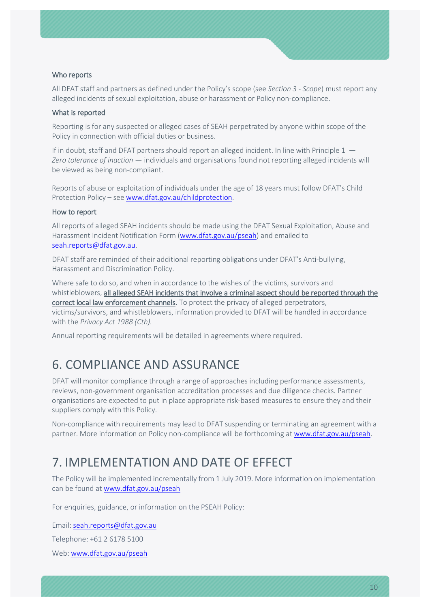### Who reports

All DFAT staff and partners as defined under the Policy's scope (see *Section 3 - Scope*) must report any alleged incidents of sexual exploitation, abuse or harassment or Policy non-compliance.

#### What is reported

Reporting is for any suspected or alleged cases of SEAH perpetrated by anyone within scope of the Policy in connection with official duties or business.

If in doubt, staff and DFAT partners should report an alleged incident. In line with Principle 1 – *Zero tolerance of inaction* — individuals and organisations found not reporting alleged incidents will be viewed as being non-compliant.

Reports of abuse or exploitation of individuals under the age of 18 years must follow DFAT's Child Protection Policy – se[e www.dfat.gov.au/childprotection.](http://www.dfat.gov.au/childprotection)

#### How to report

All reports of alleged SEAH incidents should be made using the DFAT Sexual Exploitation, Abuse and Harassment Incident Notification Form [\(www.dfat.gov.au/pseah\)](http://www.dfat.gov.au/pseah) and emailed to [seah.reports@dfat.gov.au.](mailto:seah.reports@dfat.gov.au)

DFAT staff are reminded of their additional reporting obligations under DFAT's Anti-bullying, Harassment and Discrimination Policy.

Where safe to do so, and when in accordance to the wishes of the victims, survivors and whistleblowers, all alleged SEAH incidents that involve a criminal aspect should be reported through the correct local law enforcement channels. To protect the privacy of alleged perpetrators, victims/survivors, and whistleblowers, information provided to DFAT will be handled in accordance with the *Privacy Act 1988 (Cth).*

<span id="page-9-0"></span>Annual reporting requirements will be detailed in agreements where required.

## 6. COMPLIANCE AND ASSURANCE

DFAT will monitor compliance through a range of approaches including performance assessments, reviews, non-government organisation accreditation processes and due diligence checks*.* Partner organisations are expected to put in place appropriate risk-based measures to ensure they and their suppliers comply with this Policy.

Non-compliance with requirements may lead to DFAT suspending or terminating an agreement with a partner. More information on Policy non-compliance will be forthcoming at [www.dfat.gov.au/pseah.](http://www.dfat.gov.au/pseah)

### <span id="page-9-1"></span>7. IMPLEMENTATION AND DATE OF EFFECT

The Policy will be implemented incrementally from 1 July 2019. More information on implementation can be found at [www.dfat.gov.au/pseah](http://www.dfat.gov.au/pseah)

For enquiries, guidance, or information on the PSEAH Policy:

Email: [seah.reports@dfat.gov.au](mailto:seah.reports@dfat.gov.au)

Telephone: +61 2 6178 5100

Web[: www.dfat.gov.au/pseah](http://www.dfat.gov.au/pseah)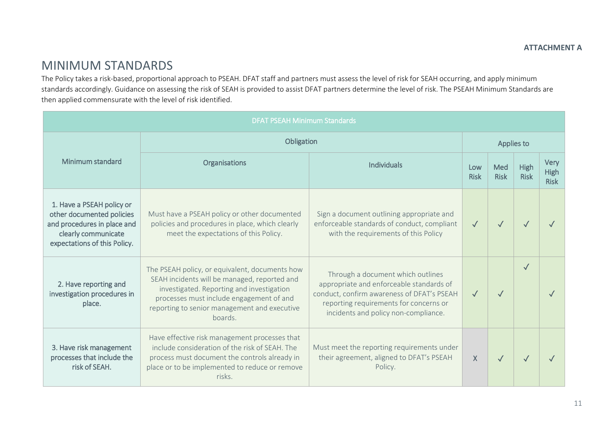### MINIMUM STANDARDS

The Policy takes a risk-based, proportional approach to PSEAH. DFAT staff and partners must assess the level of risk for SEAH occurring, and apply minimum standards accordingly. Guidance on assessing the risk of SEAH is provided to assist DFAT partners determine the level of risk. The PSEAH Minimum Standards are then applied commensurate with the level of risk identified.

<span id="page-10-0"></span>

| <b>DFAT PSEAH Minimum Standards</b>                                                                                                          |                                                                                                                                                                                                                                                    |                                                                                                                                                                                                               |                    |                    |                     |                                    |
|----------------------------------------------------------------------------------------------------------------------------------------------|----------------------------------------------------------------------------------------------------------------------------------------------------------------------------------------------------------------------------------------------------|---------------------------------------------------------------------------------------------------------------------------------------------------------------------------------------------------------------|--------------------|--------------------|---------------------|------------------------------------|
|                                                                                                                                              | Obligation                                                                                                                                                                                                                                         |                                                                                                                                                                                                               | Applies to         |                    |                     |                                    |
| Minimum standard                                                                                                                             | Organisations                                                                                                                                                                                                                                      | <b>Individuals</b>                                                                                                                                                                                            | Low<br><b>Risk</b> | Med<br><b>Risk</b> | High<br><b>Risk</b> | Very<br><b>High</b><br><b>Risk</b> |
| 1. Have a PSEAH policy or<br>other documented policies<br>and procedures in place and<br>clearly communicate<br>expectations of this Policy. | Must have a PSEAH policy or other documented<br>policies and procedures in place, which clearly<br>meet the expectations of this Policy.                                                                                                           | Sign a document outlining appropriate and<br>enforceable standards of conduct, compliant<br>with the requirements of this Policy                                                                              | $\checkmark$       | $\checkmark$       |                     |                                    |
| 2. Have reporting and<br>investigation procedures in<br>place.                                                                               | The PSEAH policy, or equivalent, documents how<br>SEAH incidents will be managed, reported and<br>investigated. Reporting and investigation<br>processes must include engagement of and<br>reporting to senior management and executive<br>boards. | Through a document which outlines<br>appropriate and enforceable standards of<br>conduct, confirm awareness of DFAT's PSEAH<br>reporting requirements for concerns or<br>incidents and policy non-compliance. | $\sqrt{}$          | $\sqrt{}$          |                     |                                    |
| 3. Have risk management<br>processes that include the<br>risk of SEAH.                                                                       | Have effective risk management processes that<br>include consideration of the risk of SEAH. The<br>process must document the controls already in<br>place or to be implemented to reduce or remove<br>risks.                                       | Must meet the reporting requirements under<br>their agreement, aligned to DFAT's PSEAH<br>Policy.                                                                                                             | X.                 | $\checkmark$       |                     |                                    |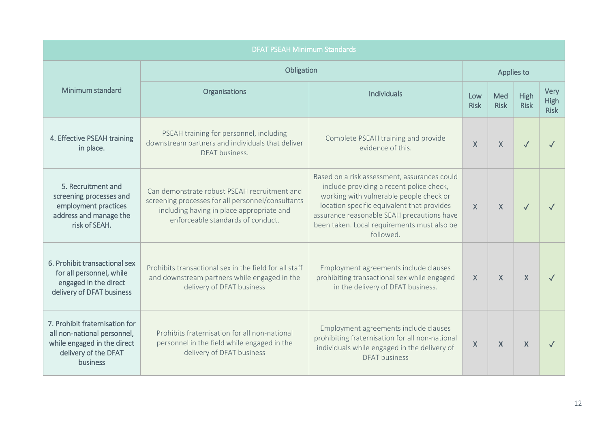| <b>DFAT PSEAH Minimum Standards</b>                                                                                              |                                                                                                                                                                                     |                                                                                                                                                                                                                                                                                             |                    |                    |                     |                                    |
|----------------------------------------------------------------------------------------------------------------------------------|-------------------------------------------------------------------------------------------------------------------------------------------------------------------------------------|---------------------------------------------------------------------------------------------------------------------------------------------------------------------------------------------------------------------------------------------------------------------------------------------|--------------------|--------------------|---------------------|------------------------------------|
|                                                                                                                                  | Obligation                                                                                                                                                                          |                                                                                                                                                                                                                                                                                             | Applies to         |                    |                     |                                    |
| Minimum standard                                                                                                                 | Organisations                                                                                                                                                                       | <b>Individuals</b>                                                                                                                                                                                                                                                                          | Low<br><b>Risk</b> | Med<br><b>Risk</b> | High<br><b>Risk</b> | Very<br><b>High</b><br><b>Risk</b> |
| 4. Effective PSEAH training<br>in place.                                                                                         | PSEAH training for personnel, including<br>downstream partners and individuals that deliver<br>DFAT business.                                                                       | Complete PSEAH training and provide<br>evidence of this.                                                                                                                                                                                                                                    | $\mathsf{X}$       | $\mathsf{X}$       | $\checkmark$        |                                    |
| 5. Recruitment and<br>screening processes and<br>employment practices<br>address and manage the<br>risk of SEAH.                 | Can demonstrate robust PSEAH recruitment and<br>screening processes for all personnel/consultants<br>including having in place appropriate and<br>enforceable standards of conduct. | Based on a risk assessment, assurances could<br>include providing a recent police check,<br>working with vulnerable people check or<br>location specific equivalent that provides<br>assurance reasonable SEAH precautions have<br>been taken. Local requirements must also be<br>followed. | X                  | $\chi$             | $\checkmark$        |                                    |
| 6. Prohibit transactional sex<br>for all personnel, while<br>engaged in the direct<br>delivery of DFAT business                  | Prohibits transactional sex in the field for all staff<br>and downstream partners while engaged in the<br>delivery of DFAT business                                                 | Employment agreements include clauses<br>prohibiting transactional sex while engaged<br>in the delivery of DFAT business.                                                                                                                                                                   | X                  | $\chi$             | $\mathsf{X}$        |                                    |
| 7. Prohibit fraternisation for<br>all non-national personnel,<br>while engaged in the direct<br>delivery of the DFAT<br>business | Prohibits fraternisation for all non-national<br>personnel in the field while engaged in the<br>delivery of DFAT business                                                           | Employment agreements include clauses<br>prohibiting fraternisation for all non-national<br>individuals while engaged in the delivery of<br><b>DFAT</b> business                                                                                                                            | $\mathsf{X}$       | $\mathbf x$        | X                   |                                    |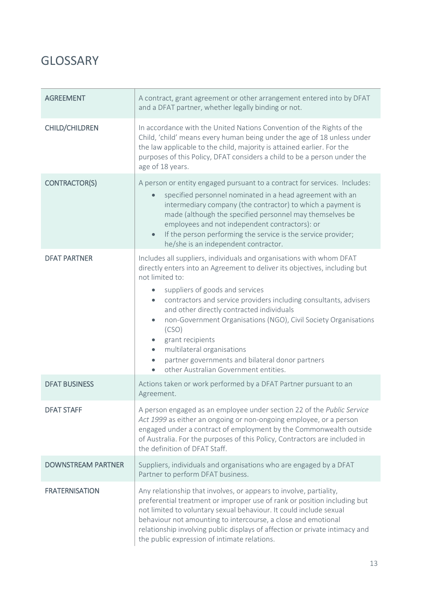## <span id="page-12-0"></span>**GLOSSARY**

| <b>AGREEMENT</b>                            | A contract, grant agreement or other arrangement entered into by DFAT<br>and a DFAT partner, whether legally binding or not.                                                                                                                                                                                                                                                                                                                                                                                                                                                                                                                                                               |
|---------------------------------------------|--------------------------------------------------------------------------------------------------------------------------------------------------------------------------------------------------------------------------------------------------------------------------------------------------------------------------------------------------------------------------------------------------------------------------------------------------------------------------------------------------------------------------------------------------------------------------------------------------------------------------------------------------------------------------------------------|
| <b>CHILD/CHILDREN</b>                       | In accordance with the United Nations Convention of the Rights of the<br>Child, 'child' means every human being under the age of 18 unless under<br>the law applicable to the child, majority is attained earlier. For the<br>purposes of this Policy, DFAT considers a child to be a person under the<br>age of 18 years.                                                                                                                                                                                                                                                                                                                                                                 |
| <b>CONTRACTOR(S)</b>                        | A person or entity engaged pursuant to a contract for services. Includes:<br>specified personnel nominated in a head agreement with an<br>$\bullet$<br>intermediary company (the contractor) to which a payment is<br>made (although the specified personnel may themselves be<br>employees and not independent contractors): or<br>If the person performing the service is the service provider;<br>$\bullet$<br>he/she is an independent contractor.                                                                                                                                                                                                                                     |
| <b>DFAT PARTNER</b><br><b>DFAT BUSINESS</b> | Includes all suppliers, individuals and organisations with whom DFAT<br>directly enters into an Agreement to deliver its objectives, including but<br>not limited to:<br>suppliers of goods and services<br>contractors and service providers including consultants, advisers<br>$\bullet$<br>and other directly contracted individuals<br>non-Government Organisations (NGO), Civil Society Organisations<br>$\bullet$<br>(CSO)<br>grant recipients<br>multilateral organisations<br>$\bullet$<br>partner governments and bilateral donor partners<br>$\bullet$<br>other Australian Government entities.<br>$\bullet$<br>Actions taken or work performed by a DFAT Partner pursuant to an |
| <b>DFAT STAFF</b>                           | Agreement.<br>A person engaged as an employee under section 22 of the Public Service<br>Act 1999 as either an ongoing or non-ongoing employee, or a person<br>engaged under a contract of employment by the Commonwealth outside<br>of Australia. For the purposes of this Policy, Contractors are included in<br>the definition of DFAT Staff.                                                                                                                                                                                                                                                                                                                                            |
| <b>DOWNSTREAM PARTNER</b>                   | Suppliers, individuals and organisations who are engaged by a DFAT<br>Partner to perform DFAT business.                                                                                                                                                                                                                                                                                                                                                                                                                                                                                                                                                                                    |
| <b>FRATERNISATION</b>                       | Any relationship that involves, or appears to involve, partiality,<br>preferential treatment or improper use of rank or position including but<br>not limited to voluntary sexual behaviour. It could include sexual<br>behaviour not amounting to intercourse, a close and emotional<br>relationship involving public displays of affection or private intimacy and<br>the public expression of intimate relations.                                                                                                                                                                                                                                                                       |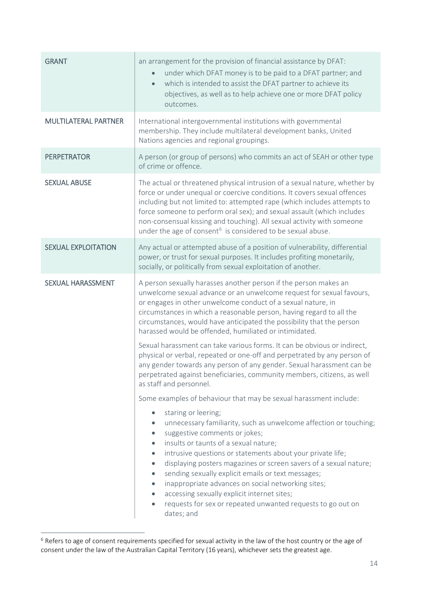| <b>GRANT</b>                | an arrangement for the provision of financial assistance by DFAT:<br>under which DFAT money is to be paid to a DFAT partner; and<br>$\bullet$<br>which is intended to assist the DFAT partner to achieve its<br>$\bullet$<br>objectives, as well as to help achieve one or more DFAT policy<br>outcomes.                                                                                                                                                                                                                                                                                                                                                                                         |
|-----------------------------|--------------------------------------------------------------------------------------------------------------------------------------------------------------------------------------------------------------------------------------------------------------------------------------------------------------------------------------------------------------------------------------------------------------------------------------------------------------------------------------------------------------------------------------------------------------------------------------------------------------------------------------------------------------------------------------------------|
| <b>MULTILATERAL PARTNER</b> | International intergovernmental institutions with governmental<br>membership. They include multilateral development banks, United<br>Nations agencies and regional groupings.                                                                                                                                                                                                                                                                                                                                                                                                                                                                                                                    |
| <b>PERPETRATOR</b>          | A person (or group of persons) who commits an act of SEAH or other type<br>of crime or offence.                                                                                                                                                                                                                                                                                                                                                                                                                                                                                                                                                                                                  |
| <b>SEXUAL ABUSE</b>         | The actual or threatened physical intrusion of a sexual nature, whether by<br>force or under unequal or coercive conditions. It covers sexual offences<br>including but not limited to: attempted rape (which includes attempts to<br>force someone to perform oral sex); and sexual assault (which includes<br>non-consensual kissing and touching). All sexual activity with someone<br>under the age of consent <sup>6</sup> is considered to be sexual abuse.                                                                                                                                                                                                                                |
| <b>SEXUAL EXPLOITATION</b>  | Any actual or attempted abuse of a position of vulnerability, differential<br>power, or trust for sexual purposes. It includes profiting monetarily,<br>socially, or politically from sexual exploitation of another.                                                                                                                                                                                                                                                                                                                                                                                                                                                                            |
| <b>SEXUAL HARASSMENT</b>    | A person sexually harasses another person if the person makes an<br>unwelcome sexual advance or an unwelcome request for sexual favours,<br>or engages in other unwelcome conduct of a sexual nature, in<br>circumstances in which a reasonable person, having regard to all the<br>circumstances, would have anticipated the possibility that the person<br>harassed would be offended, humiliated or intimidated.                                                                                                                                                                                                                                                                              |
|                             | Sexual harassment can take various forms. It can be obvious or indirect,<br>physical or verbal, repeated or one-off and perpetrated by any person of<br>any gender towards any person of any gender. Sexual harassment can be<br>perpetrated against beneficiaries, community members, citizens, as well<br>as staff and personnel.                                                                                                                                                                                                                                                                                                                                                              |
|                             | Some examples of behaviour that may be sexual harassment include:<br>staring or leering;<br>unnecessary familiarity, such as unwelcome affection or touching;<br>suggestive comments or jokes;<br>$\bullet$<br>insults or taunts of a sexual nature;<br>intrusive questions or statements about your private life;<br>$\bullet$<br>displaying posters magazines or screen savers of a sexual nature;<br>$\bullet$<br>sending sexually explicit emails or text messages;<br>$\bullet$<br>inappropriate advances on social networking sites;<br>$\bullet$<br>accessing sexually explicit internet sites;<br>$\bullet$<br>requests for sex or repeated unwanted requests to go out on<br>dates; and |

<span id="page-13-0"></span> $6$  Refers to age of consent requirements specified for sexual activity in the law of the host country or the age of consent under the law of the Australian Capital Territory (16 years), whichever sets the greatest age.